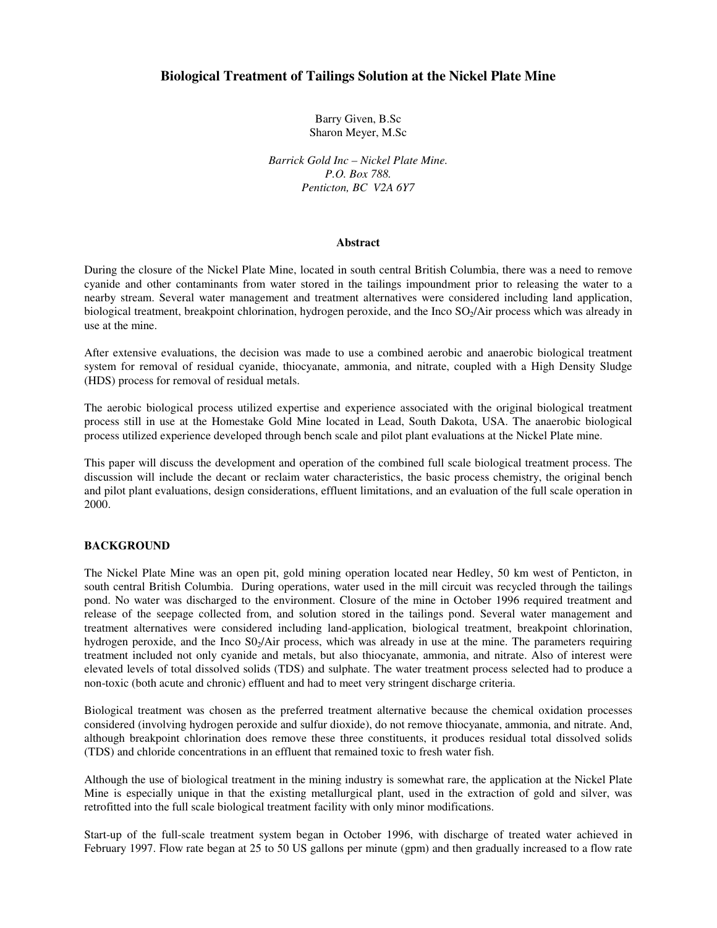# **Biological Treatment of Tailings Solution at the Nickel Plate Mine**

Barry Given, B.Sc Sharon Meyer, M.Sc

*Barrick Gold Inc – Nickel Plate Mine. P.O. Box 788. Penticton, BC V2A 6Y7* 

#### **Abstract**

During the closure of the Nickel Plate Mine, located in south central British Columbia, there was a need to remove cyanide and other contaminants from water stored in the tailings impoundment prior to releasing the water to a nearby stream. Several water management and treatment alternatives were considered including land application, biological treatment, breakpoint chlorination, hydrogen peroxide, and the Inco SO<sub>2</sub>/Air process which was already in use at the mine.

After extensive evaluations, the decision was made to use a combined aerobic and anaerobic biological treatment system for removal of residual cyanide, thiocyanate, ammonia, and nitrate, coupled with a High Density Sludge (HDS) process for removal of residual metals.

The aerobic biological process utilized expertise and experience associated with the original biological treatment process still in use at the Homestake Gold Mine located in Lead, South Dakota, USA. The anaerobic biological process utilized experience developed through bench scale and pilot plant evaluations at the Nickel Plate mine.

This paper will discuss the development and operation of the combined full scale biological treatment process. The discussion will include the decant or reclaim water characteristics, the basic process chemistry, the original bench and pilot plant evaluations, design considerations, effluent limitations, and an evaluation of the full scale operation in 2000.

#### **BACKGROUND**

The Nickel Plate Mine was an open pit, gold mining operation located near Hedley, 50 km west of Penticton, in south central British Columbia. During operations, water used in the mill circuit was recycled through the tailings pond. No water was discharged to the environment. Closure of the mine in October 1996 required treatment and release of the seepage collected from, and solution stored in the tailings pond. Several water management and treatment alternatives were considered including land-application, biological treatment, breakpoint chlorination, hydrogen peroxide, and the Inco  $SO<sub>2</sub>/Air$  process, which was already in use at the mine. The parameters requiring treatment included not only cyanide and metals, but also thiocyanate, ammonia, and nitrate. Also of interest were elevated levels of total dissolved solids (TDS) and sulphate. The water treatment process selected had to produce a non-toxic (both acute and chronic) effluent and had to meet very stringent discharge criteria.

Biological treatment was chosen as the preferred treatment alternative because the chemical oxidation processes considered (involving hydrogen peroxide and sulfur dioxide), do not remove thiocyanate, ammonia, and nitrate. And, although breakpoint chlorination does remove these three constituents, it produces residual total dissolved solids (TDS) and chloride concentrations in an effluent that remained toxic to fresh water fish.

Although the use of biological treatment in the mining industry is somewhat rare, the application at the Nickel Plate Mine is especially unique in that the existing metallurgical plant, used in the extraction of gold and silver, was retrofitted into the full scale biological treatment facility with only minor modifications.

Start-up of the full-scale treatment system began in October 1996, with discharge of treated water achieved in February 1997. Flow rate began at 25 to 50 US gallons per minute (gpm) and then gradually increased to a flow rate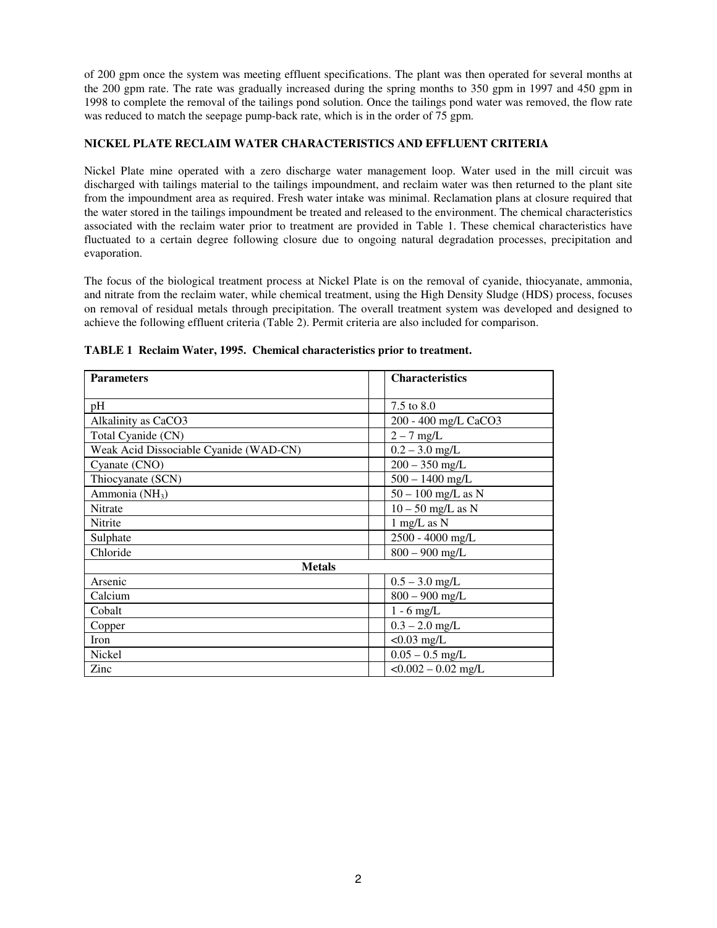of 200 gpm once the system was meeting effluent specifications. The plant was then operated for several months at the 200 gpm rate. The rate was gradually increased during the spring months to 350 gpm in 1997 and 450 gpm in 1998 to complete the removal of the tailings pond solution. Once the tailings pond water was removed, the flow rate was reduced to match the seepage pump-back rate, which is in the order of 75 gpm.

## **NICKEL PLATE RECLAIM WATER CHARACTERISTICS AND EFFLUENT CRITERIA**

Nickel Plate mine operated with a zero discharge water management loop. Water used in the mill circuit was discharged with tailings material to the tailings impoundment, and reclaim water was then returned to the plant site from the impoundment area as required. Fresh water intake was minimal. Reclamation plans at closure required that the water stored in the tailings impoundment be treated and released to the environment. The chemical characteristics associated with the reclaim water prior to treatment are provided in Table 1. These chemical characteristics have fluctuated to a certain degree following closure due to ongoing natural degradation processes, precipitation and evaporation.

The focus of the biological treatment process at Nickel Plate is on the removal of cyanide, thiocyanate, ammonia, and nitrate from the reclaim water, while chemical treatment, using the High Density Sludge (HDS) process, focuses on removal of residual metals through precipitation. The overall treatment system was developed and designed to achieve the following effluent criteria (Table 2). Permit criteria are also included for comparison.

| <b>Parameters</b>                      | <b>Characteristics</b> |  |
|----------------------------------------|------------------------|--|
| pH                                     | 7.5 to 8.0             |  |
| Alkalinity as CaCO3                    | 200 - 400 mg/L CaCO3   |  |
| Total Cyanide (CN)                     | $2 - 7$ mg/L           |  |
| Weak Acid Dissociable Cyanide (WAD-CN) | $0.2 - 3.0$ mg/L       |  |
| Cyanate (CNO)                          | $200 - 350$ mg/L       |  |
| Thiocyanate (SCN)                      | $500 - 1400$ mg/L      |  |
| Ammonia (NH <sub>3</sub> )             | $50 - 100$ mg/L as N   |  |
| <b>Nitrate</b>                         | $10 - 50$ mg/L as N    |  |
| Nitrite                                | $1$ mg/L as N          |  |
| Sulphate                               | 2500 - 4000 mg/L       |  |
| Chloride                               | $800 - 900$ mg/L       |  |
| <b>Metals</b>                          |                        |  |
| Arsenic                                | $0.5 - 3.0$ mg/L       |  |
| Calcium                                | $800 - 900$ mg/L       |  |
| Cobalt                                 | $1 - 6$ mg/L           |  |
| Copper                                 | $0.3 - 2.0$ mg/L       |  |
| Iron                                   | $< 0.03$ mg/L          |  |
| <b>Nickel</b>                          | $0.05 - 0.5$ mg/L      |  |
| Zinc                                   | $< 0.002 - 0.02$ mg/L  |  |

**TABLE 1 Reclaim Water, 1995. Chemical characteristics prior to treatment.**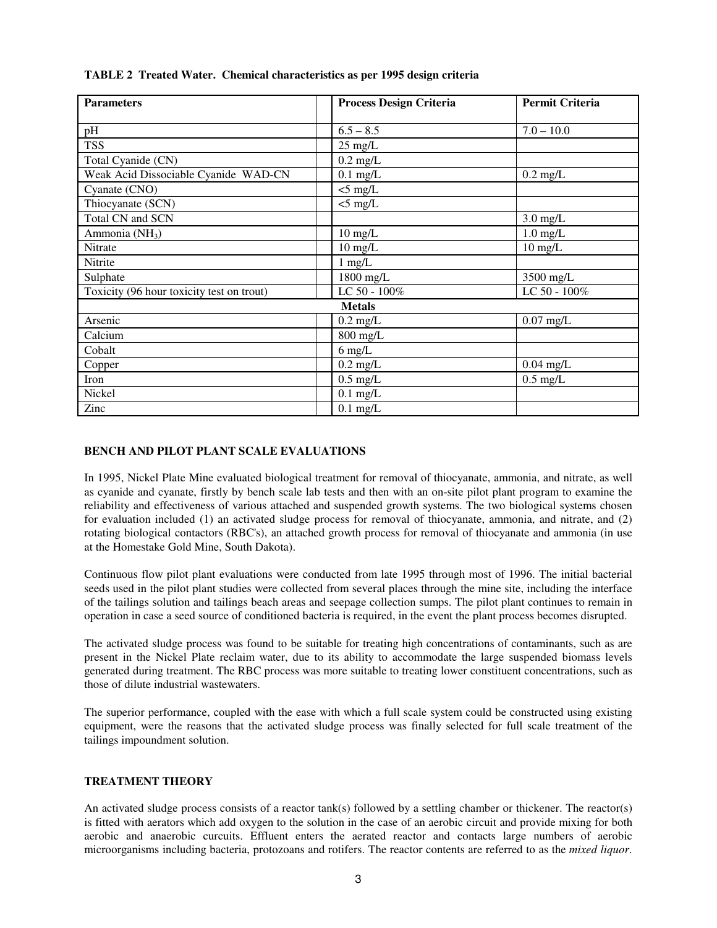| <b>Parameters</b>                         | <b>Process Design Criteria</b> | Permit Criteria    |  |  |
|-------------------------------------------|--------------------------------|--------------------|--|--|
|                                           |                                |                    |  |  |
| pH                                        | $6.5 - 8.5$                    | $7.0 - 10.0$       |  |  |
| <b>TSS</b>                                | $25 \text{ mg/L}$              |                    |  |  |
| Total Cyanide (CN)                        | $0.2 \text{ mg/L}$             |                    |  |  |
| Weak Acid Dissociable Cyanide WAD-CN      | $0.1$ mg/L                     | $0.2 \text{ mg/L}$ |  |  |
| Cyanate (CNO)                             | $<$ 5 mg/L                     |                    |  |  |
| Thiocyanate (SCN)                         | $<$ 5 mg/L                     |                    |  |  |
| Total CN and SCN                          |                                | $3.0$ mg/L         |  |  |
| Ammonia (NH <sub>3</sub> )                | $10 \text{ mg/L}$              | $1.0$ mg/L         |  |  |
| Nitrate                                   | $10 \text{ mg/L}$              | $10 \text{ mg/L}$  |  |  |
| Nitrite                                   | $1$ mg/L                       |                    |  |  |
| Sulphate                                  | 1800 mg/L                      | 3500 mg/L          |  |  |
| Toxicity (96 hour toxicity test on trout) | LC 50 - 100%                   | LC 50 - 100%       |  |  |
| <b>Metals</b>                             |                                |                    |  |  |
| Arsenic                                   | $0.2 \text{ mg/L}$             | $0.07$ mg/L        |  |  |
| Calcium                                   | 800 mg/L                       |                    |  |  |
| Cobalt                                    | $6$ mg/L                       |                    |  |  |
| Copper                                    | $0.2 \text{ mg/L}$             | $0.04$ mg/L        |  |  |
| Iron                                      | $0.5$ mg/L                     | $0.5$ mg/L         |  |  |
| Nickel                                    | $0.1$ mg/L                     |                    |  |  |
| Zinc                                      | $0.1$ mg/L                     |                    |  |  |

### **TABLE 2 Treated Water. Chemical characteristics as per 1995 design criteria**

### **BENCH AND PILOT PLANT SCALE EVALUATIONS**

In 1995, Nickel Plate Mine evaluated biological treatment for removal of thiocyanate, ammonia, and nitrate, as well as cyanide and cyanate, firstly by bench scale lab tests and then with an on-site pilot plant program to examine the reliability and effectiveness of various attached and suspended growth systems. The two biological systems chosen for evaluation included (1) an activated sludge process for removal of thiocyanate, ammonia, and nitrate, and (2) rotating biological contactors (RBC's), an attached growth process for removal of thiocyanate and ammonia (in use at the Homestake Gold Mine, South Dakota).

Continuous flow pilot plant evaluations were conducted from late 1995 through most of 1996. The initial bacterial seeds used in the pilot plant studies were collected from several places through the mine site, including the interface of the tailings solution and tailings beach areas and seepage collection sumps. The pilot plant continues to remain in operation in case a seed source of conditioned bacteria is required, in the event the plant process becomes disrupted.

The activated sludge process was found to be suitable for treating high concentrations of contaminants, such as are present in the Nickel Plate reclaim water, due to its ability to accommodate the large suspended biomass levels generated during treatment. The RBC process was more suitable to treating lower constituent concentrations, such as those of dilute industrial wastewaters.

The superior performance, coupled with the ease with which a full scale system could be constructed using existing equipment, were the reasons that the activated sludge process was finally selected for full scale treatment of the tailings impoundment solution.

### **TREATMENT THEORY**

An activated sludge process consists of a reactor tank(s) followed by a settling chamber or thickener. The reactor(s) is fitted with aerators which add oxygen to the solution in the case of an aerobic circuit and provide mixing for both aerobic and anaerobic curcuits. Effluent enters the aerated reactor and contacts large numbers of aerobic microorganisms including bacteria, protozoans and rotifers. The reactor contents are referred to as the *mixed liquor*.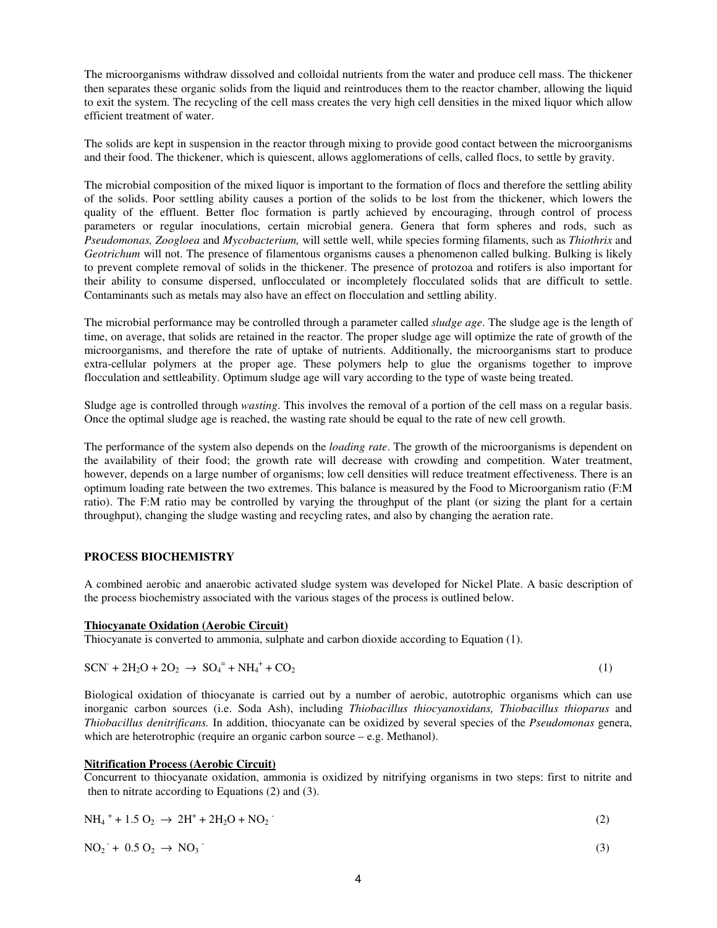The microorganisms withdraw dissolved and colloidal nutrients from the water and produce cell mass. The thickener then separates these organic solids from the liquid and reintroduces them to the reactor chamber, allowing the liquid to exit the system. The recycling of the cell mass creates the very high cell densities in the mixed liquor which allow efficient treatment of water.

The solids are kept in suspension in the reactor through mixing to provide good contact between the microorganisms and their food. The thickener, which is quiescent, allows agglomerations of cells, called flocs, to settle by gravity.

The microbial composition of the mixed liquor is important to the formation of flocs and therefore the settling ability of the solids. Poor settling ability causes a portion of the solids to be lost from the thickener, which lowers the quality of the effluent. Better floc formation is partly achieved by encouraging, through control of process parameters or regular inoculations, certain microbial genera. Genera that form spheres and rods, such as *Pseudomonas, Zoogloea* and *Mycobacterium,* will settle well, while species forming filaments, such as *Thiothrix* and *Geotrichum* will not. The presence of filamentous organisms causes a phenomenon called bulking. Bulking is likely to prevent complete removal of solids in the thickener. The presence of protozoa and rotifers is also important for their ability to consume dispersed, unflocculated or incompletely flocculated solids that are difficult to settle. Contaminants such as metals may also have an effect on flocculation and settling ability.

The microbial performance may be controlled through a parameter called *sludge age*. The sludge age is the length of time, on average, that solids are retained in the reactor. The proper sludge age will optimize the rate of growth of the microorganisms, and therefore the rate of uptake of nutrients. Additionally, the microorganisms start to produce extra-cellular polymers at the proper age. These polymers help to glue the organisms together to improve flocculation and settleability. Optimum sludge age will vary according to the type of waste being treated.

Sludge age is controlled through *wasting*. This involves the removal of a portion of the cell mass on a regular basis. Once the optimal sludge age is reached, the wasting rate should be equal to the rate of new cell growth.

The performance of the system also depends on the *loading rate*. The growth of the microorganisms is dependent on the availability of their food; the growth rate will decrease with crowding and competition. Water treatment, however, depends on a large number of organisms; low cell densities will reduce treatment effectiveness. There is an optimum loading rate between the two extremes. This balance is measured by the Food to Microorganism ratio (F:M ratio). The F:M ratio may be controlled by varying the throughput of the plant (or sizing the plant for a certain throughput), changing the sludge wasting and recycling rates, and also by changing the aeration rate.

## **PROCESS BIOCHEMISTRY**

A combined aerobic and anaerobic activated sludge system was developed for Nickel Plate. A basic description of the process biochemistry associated with the various stages of the process is outlined below.

### **Thiocyanate Oxidation (Aerobic Circuit)**

Thiocyanate is converted to ammonia, sulphate and carbon dioxide according to Equation (1).

$$
SCN^{+} + 2H_2O + 2O_2 \rightarrow SO_4^{-} + NH_4^{+} + CO_2
$$
\n(1)

Biological oxidation of thiocyanate is carried out by a number of aerobic, autotrophic organisms which can use inorganic carbon sources (i.e. Soda Ash), including *Thiobacillus thiocyanoxidans, Thiobacillus thioparus* and *Thiobacillus denitrificans.* In addition, thiocyanate can be oxidized by several species of the *Pseudomonas* genera, which are heterotrophic (require an organic carbon source – e.g. Methanol).

#### **Nitrification Process (Aerobic Circuit)**

Concurrent to thiocyanate oxidation, ammonia is oxidized by nitrifying organisms in two steps: first to nitrite and then to nitrate according to Equations (2) and (3).

$$
NH_4 + 1.5 O_2 \rightarrow 2H^+ + 2H_2O + NO_2
$$
 (2)

$$
NO_2 + 0.5 O_2 \rightarrow NO_3 \tag{3}
$$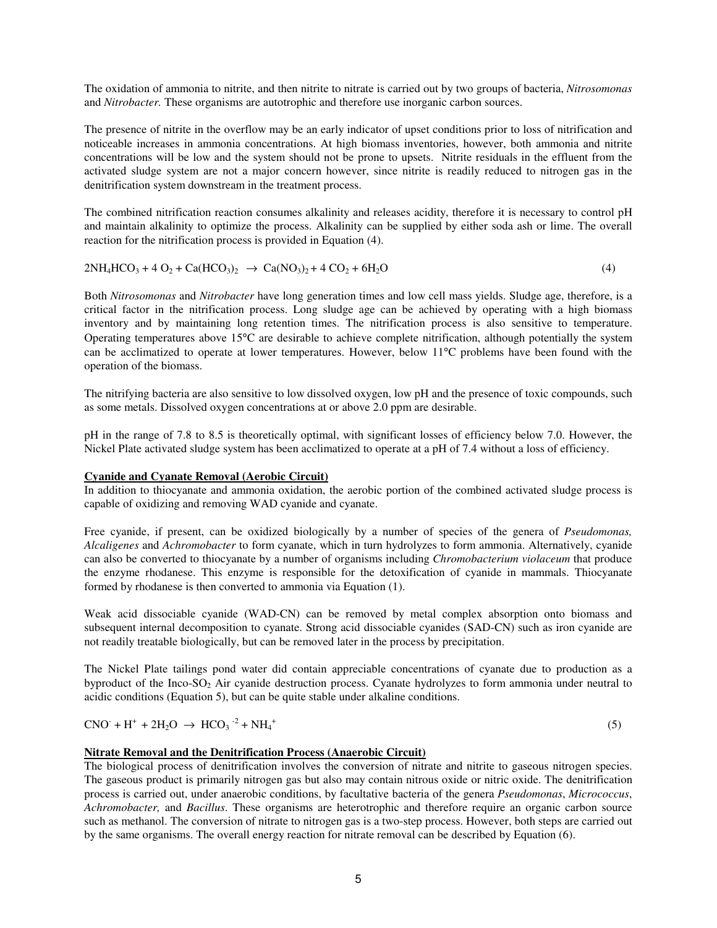The oxidation of ammonia to nitrite, and then nitrite to nitrate is carried out by two groups of bacteria, *Nitrosomonas*  and *Nitrobacter.* These organisms are autotrophic and therefore use inorganic carbon sources.

The presence of nitrite in the overflow may be an early indicator of upset conditions prior to loss of nitrification and noticeable increases in ammonia concentrations. At high biomass inventories, however, both ammonia and nitrite concentrations will be low and the system should not be prone to upsets. Nitrite residuals in the effluent from the activated sludge system are not a major concern however, since nitrite is readily reduced to nitrogen gas in the denitrification system downstream in the treatment process.

The combined nitrification reaction consumes alkalinity and releases acidity, therefore it is necessary to control pH and maintain alkalinity to optimize the process. Alkalinity can be supplied by either soda ash or lime. The overall reaction for the nitrification process is provided in Equation (4).

$$
2NH_4HCO_3 + 4 O_2 + Ca(HCO_3)_2 \rightarrow Ca(NO_3)_2 + 4 CO_2 + 6H_2O
$$
\n(4)

Both *Nitrosomonas* and *Nitrobacter* have long generation times and low cell mass yields. Sludge age, therefore, is a critical factor in the nitrification process. Long sludge age can be achieved by operating with a high biomass inventory and by maintaining long retention times. The nitrification process is also sensitive to temperature. Operating temperatures above 15°C are desirable to achieve complete nitrification, although potentially the system can be acclimatized to operate at lower temperatures. However, below 11°C problems have been found with the operation of the biomass.

The nitrifying bacteria are also sensitive to low dissolved oxygen, low pH and the presence of toxic compounds, such as some metals. Dissolved oxygen concentrations at or above 2.0 ppm are desirable.

pH in the range of 7.8 to 8.5 is theoretically optimal, with significant losses of efficiency below 7.0. However, the Nickel Plate activated sludge system has been acclimatized to operate at a pH of 7.4 without a loss of efficiency.

### **Cyanide and Cyanate Removal (Aerobic Circuit)**

In addition to thiocyanate and ammonia oxidation, the aerobic portion of the combined activated sludge process is capable of oxidizing and removing WAD cyanide and cyanate.

Free cyanide, if present, can be oxidized biologically by a number of species of the genera of *Pseudomonas, Alcaligenes* and *Achromobacter* to form cyanate, which in turn hydrolyzes to form ammonia. Alternatively, cyanide can also be converted to thiocyanate by a number of organisms including *Chromobacterium violaceum* that produce the enzyme rhodanese. This enzyme is responsible for the detoxification of cyanide in mammals. Thiocyanate formed by rhodanese is then converted to ammonia via Equation (1).

Weak acid dissociable cyanide (WAD-CN) can be removed by metal complex absorption onto biomass and subsequent internal decomposition to cyanate. Strong acid dissociable cyanides (SAD-CN) such as iron cyanide are not readily treatable biologically, but can be removed later in the process by precipitation.

The Nickel Plate tailings pond water did contain appreciable concentrations of cyanate due to production as a byproduct of the Inco-SO<sub>2</sub> Air cyanide destruction process. Cyanate hydrolyzes to form ammonia under neutral to acidic conditions (Equation 5), but can be quite stable under alkaline conditions.

 $CNO + H^+ + 2H_2O \rightarrow HCO_3^{-2} + NH_4^+$ 

 $(5)$ 

### **Nitrate Removal and the Denitrification Process (Anaerobic Circuit)**

The biological process of denitrification involves the conversion of nitrate and nitrite to gaseous nitrogen species. The gaseous product is primarily nitrogen gas but also may contain nitrous oxide or nitric oxide. The denitrification process is carried out, under anaerobic conditions, by facultative bacteria of the genera *Pseudomonas*, *Micrococcus*, *Achromobacter,* and *Bacillus*. These organisms are heterotrophic and therefore require an organic carbon source such as methanol. The conversion of nitrate to nitrogen gas is a two-step process. However, both steps are carried out by the same organisms. The overall energy reaction for nitrate removal can be described by Equation (6).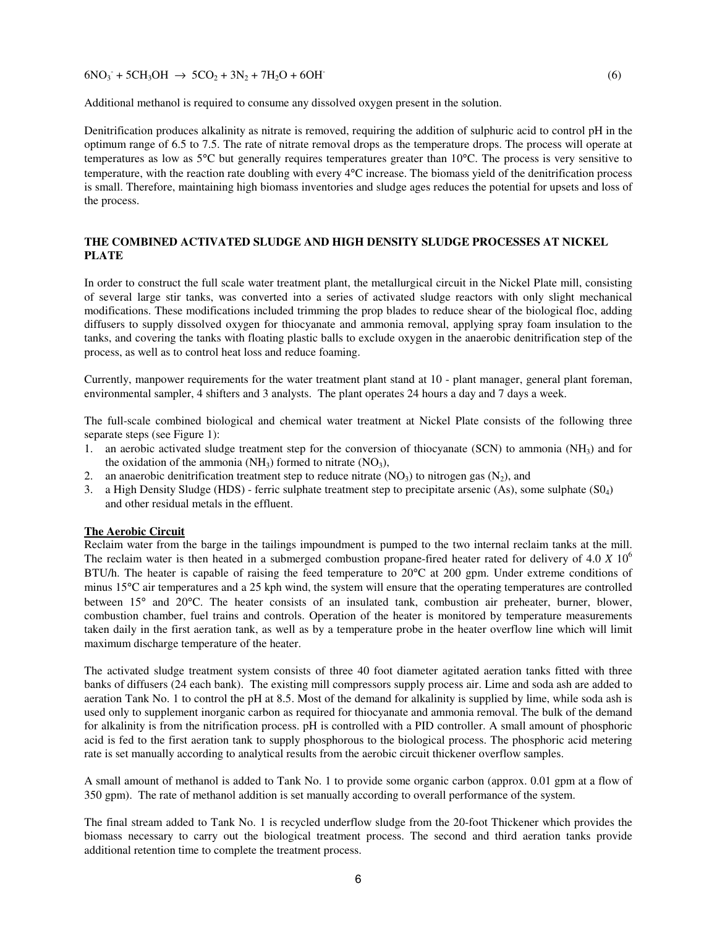$6NO_3 + 5CH_3OH \rightarrow 5CO_2 + 3N_2 + 7H_2O + 6OH$ <sup>(6)</sup>

Additional methanol is required to consume any dissolved oxygen present in the solution.

Denitrification produces alkalinity as nitrate is removed, requiring the addition of sulphuric acid to control pH in the optimum range of 6.5 to 7.5. The rate of nitrate removal drops as the temperature drops. The process will operate at temperatures as low as 5°C but generally requires temperatures greater than 10°C. The process is very sensitive to temperature, with the reaction rate doubling with every 4°C increase. The biomass yield of the denitrification process is small. Therefore, maintaining high biomass inventories and sludge ages reduces the potential for upsets and loss of the process.

### **THE COMBINED ACTIVATED SLUDGE AND HIGH DENSITY SLUDGE PROCESSES AT NICKEL PLATE**

In order to construct the full scale water treatment plant, the metallurgical circuit in the Nickel Plate mill, consisting of several large stir tanks, was converted into a series of activated sludge reactors with only slight mechanical modifications. These modifications included trimming the prop blades to reduce shear of the biological floc, adding diffusers to supply dissolved oxygen for thiocyanate and ammonia removal, applying spray foam insulation to the tanks, and covering the tanks with floating plastic balls to exclude oxygen in the anaerobic denitrification step of the process, as well as to control heat loss and reduce foaming.

Currently, manpower requirements for the water treatment plant stand at 10 - plant manager, general plant foreman, environmental sampler, 4 shifters and 3 analysts. The plant operates 24 hours a day and 7 days a week.

The full-scale combined biological and chemical water treatment at Nickel Plate consists of the following three separate steps (see Figure 1):

- 1. an aerobic activated sludge treatment step for the conversion of thiocyanate (SCN) to ammonia ( $NH<sub>3</sub>$ ) and for the oxidation of the ammonia  $(NH_3)$  formed to nitrate  $(NO_3)$ ,
- 2. an anaerobic denitrification treatment step to reduce nitrate  $(NO<sub>3</sub>)$  to nitrogen gas  $(N<sub>2</sub>)$ , and
- 3. a High Density Sludge (HDS) ferric sulphate treatment step to precipitate arsenic (As), some sulphate (S04) and other residual metals in the effluent.

#### **The Aerobic Circuit**

Reclaim water from the barge in the tailings impoundment is pumped to the two internal reclaim tanks at the mill. The reclaim water is then heated in a submerged combustion propane-fired heater rated for delivery of 4.0 *X* 10<sup>6</sup> BTU/h. The heater is capable of raising the feed temperature to 20°C at 200 gpm. Under extreme conditions of minus 15°C air temperatures and a 25 kph wind, the system will ensure that the operating temperatures are controlled between 15° and 20°C. The heater consists of an insulated tank, combustion air preheater, burner, blower, combustion chamber, fuel trains and controls. Operation of the heater is monitored by temperature measurements taken daily in the first aeration tank, as well as by a temperature probe in the heater overflow line which will limit maximum discharge temperature of the heater.

The activated sludge treatment system consists of three 40 foot diameter agitated aeration tanks fitted with three banks of diffusers (24 each bank). The existing mill compressors supply process air. Lime and soda ash are added to aeration Tank No. 1 to control the pH at 8.5. Most of the demand for alkalinity is supplied by lime, while soda ash is used only to supplement inorganic carbon as required for thiocyanate and ammonia removal. The bulk of the demand for alkalinity is from the nitrification process. pH is controlled with a PID controller. A small amount of phosphoric acid is fed to the first aeration tank to supply phosphorous to the biological process. The phosphoric acid metering rate is set manually according to analytical results from the aerobic circuit thickener overflow samples.

A small amount of methanol is added to Tank No. 1 to provide some organic carbon (approx. 0.01 gpm at a flow of 350 gpm). The rate of methanol addition is set manually according to overall performance of the system.

The final stream added to Tank No. 1 is recycled underflow sludge from the 20-foot Thickener which provides the biomass necessary to carry out the biological treatment process. The second and third aeration tanks provide additional retention time to complete the treatment process.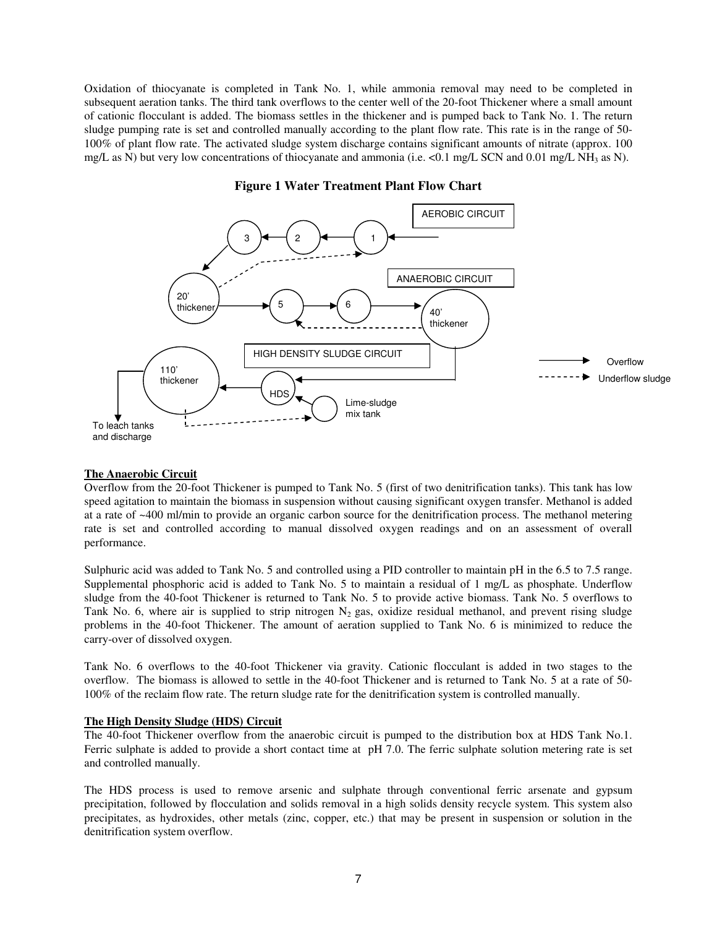Oxidation of thiocyanate is completed in Tank No. 1, while ammonia removal may need to be completed in subsequent aeration tanks. The third tank overflows to the center well of the 20-foot Thickener where a small amount of cationic flocculant is added. The biomass settles in the thickener and is pumped back to Tank No. 1. The return sludge pumping rate is set and controlled manually according to the plant flow rate. This rate is in the range of 50- 100% of plant flow rate. The activated sludge system discharge contains significant amounts of nitrate (approx. 100 mg/L as N) but very low concentrations of thiocyanate and ammonia (i.e.  $\lt 0.1$  mg/L SCN and 0.01 mg/L NH<sub>3</sub> as N).



### **Figure 1 Water Treatment Plant Flow Chart**

#### **The Anaerobic Circuit**

Overflow from the 20-foot Thickener is pumped to Tank No. 5 (first of two denitrification tanks). This tank has low speed agitation to maintain the biomass in suspension without causing significant oxygen transfer. Methanol is added at a rate of ~400 ml/min to provide an organic carbon source for the denitrification process. The methanol metering rate is set and controlled according to manual dissolved oxygen readings and on an assessment of overall performance.

Sulphuric acid was added to Tank No. 5 and controlled using a PID controller to maintain pH in the 6.5 to 7.5 range. Supplemental phosphoric acid is added to Tank No. 5 to maintain a residual of 1 mg/L as phosphate. Underflow sludge from the 40-foot Thickener is returned to Tank No. 5 to provide active biomass. Tank No. 5 overflows to Tank No. 6, where air is supplied to strip nitrogen  $N_2$  gas, oxidize residual methanol, and prevent rising sludge problems in the 40-foot Thickener. The amount of aeration supplied to Tank No. 6 is minimized to reduce the carry-over of dissolved oxygen.

Tank No. 6 overflows to the 40-foot Thickener via gravity. Cationic flocculant is added in two stages to the overflow. The biomass is allowed to settle in the 40-foot Thickener and is returned to Tank No. 5 at a rate of 50- 100% of the reclaim flow rate. The return sludge rate for the denitrification system is controlled manually.

### **The High Density Sludge (HDS) Circuit**

The 40-foot Thickener overflow from the anaerobic circuit is pumped to the distribution box at HDS Tank No.1. Ferric sulphate is added to provide a short contact time at pH 7.0. The ferric sulphate solution metering rate is set and controlled manually.

The HDS process is used to remove arsenic and sulphate through conventional ferric arsenate and gypsum precipitation, followed by flocculation and solids removal in a high solids density recycle system. This system also precipitates, as hydroxides, other metals (zinc, copper, etc.) that may be present in suspension or solution in the denitrification system overflow.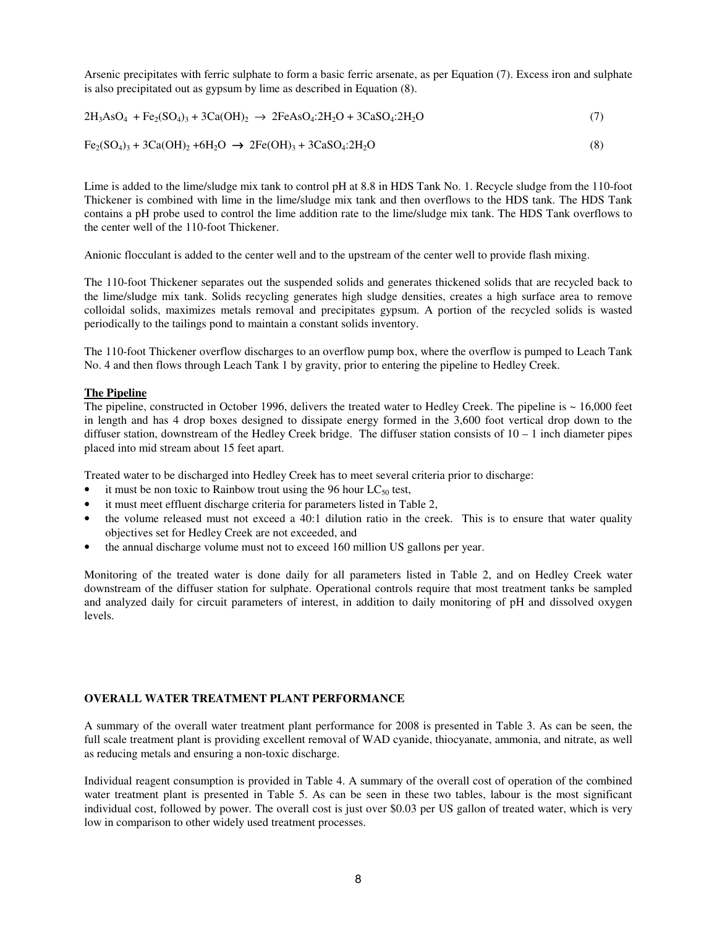Arsenic precipitates with ferric sulphate to form a basic ferric arsenate, as per Equation (7). Excess iron and sulphate is also precipitated out as gypsum by lime as described in Equation (8).

$$
2H_3AsO_4 + Fe_2(SO_4)_3 + 3Ca(OH)_2 \rightarrow 2FeAsO_4:2H_2O + 3CaSO_4:2H_2O \tag{7}
$$

$$
Fe_2(SO_4)_3 + 3Ca(OH)_2 + 6H_2O \rightarrow 2Fe(OH)_3 + 3CaSO_4:2H_2O
$$
\n(8)

Lime is added to the lime/sludge mix tank to control pH at 8.8 in HDS Tank No. 1. Recycle sludge from the 110-foot Thickener is combined with lime in the lime/sludge mix tank and then overflows to the HDS tank. The HDS Tank contains a pH probe used to control the lime addition rate to the lime/sludge mix tank. The HDS Tank overflows to the center well of the 110-foot Thickener.

Anionic flocculant is added to the center well and to the upstream of the center well to provide flash mixing.

The 110-foot Thickener separates out the suspended solids and generates thickened solids that are recycled back to the lime/sludge mix tank. Solids recycling generates high sludge densities, creates a high surface area to remove colloidal solids, maximizes metals removal and precipitates gypsum. A portion of the recycled solids is wasted periodically to the tailings pond to maintain a constant solids inventory.

The 110-foot Thickener overflow discharges to an overflow pump box, where the overflow is pumped to Leach Tank No. 4 and then flows through Leach Tank 1 by gravity, prior to entering the pipeline to Hedley Creek.

### **The Pipeline**

The pipeline, constructed in October 1996, delivers the treated water to Hedley Creek. The pipeline is ~ 16,000 feet in length and has 4 drop boxes designed to dissipate energy formed in the 3,600 foot vertical drop down to the diffuser station, downstream of the Hedley Creek bridge. The diffuser station consists of  $10 - 1$  inch diameter pipes placed into mid stream about 15 feet apart.

Treated water to be discharged into Hedley Creek has to meet several criteria prior to discharge:

- it must be non toxic to Rainbow trout using the 96 hour  $LC_{50}$  test,
- it must meet effluent discharge criteria for parameters listed in Table 2,
- the volume released must not exceed a 40:1 dilution ratio in the creek. This is to ensure that water quality objectives set for Hedley Creek are not exceeded, and
- the annual discharge volume must not to exceed 160 million US gallons per year.

Monitoring of the treated water is done daily for all parameters listed in Table 2, and on Hedley Creek water downstream of the diffuser station for sulphate. Operational controls require that most treatment tanks be sampled and analyzed daily for circuit parameters of interest, in addition to daily monitoring of pH and dissolved oxygen levels.

#### **OVERALL WATER TREATMENT PLANT PERFORMANCE**

A summary of the overall water treatment plant performance for 2008 is presented in Table 3. As can be seen, the full scale treatment plant is providing excellent removal of WAD cyanide, thiocyanate, ammonia, and nitrate, as well as reducing metals and ensuring a non-toxic discharge.

Individual reagent consumption is provided in Table 4. A summary of the overall cost of operation of the combined water treatment plant is presented in Table 5. As can be seen in these two tables, labour is the most significant individual cost, followed by power. The overall cost is just over \$0.03 per US gallon of treated water, which is very low in comparison to other widely used treatment processes.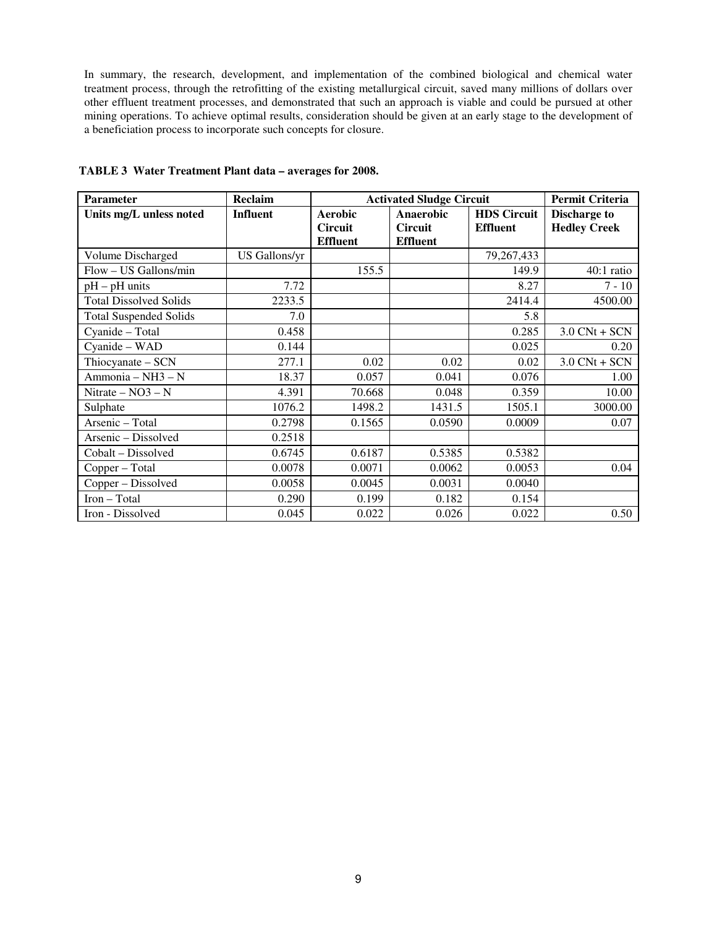In summary, the research, development, and implementation of the combined biological and chemical water treatment process, through the retrofitting of the existing metallurgical circuit, saved many millions of dollars over other effluent treatment processes, and demonstrated that such an approach is viable and could be pursued at other mining operations. To achieve optimal results, consideration should be given at an early stage to the development of a beneficiation process to incorporate such concepts for closure.

| <b>Parameter</b>              | Reclaim         | <b>Activated Sludge Circuit</b> |                  |                    | <b>Permit Criteria</b> |
|-------------------------------|-----------------|---------------------------------|------------------|--------------------|------------------------|
| Units mg/L unless noted       | <b>Influent</b> | <b>Aerobic</b>                  | <b>Anaerobic</b> | <b>HDS</b> Circuit | <b>Discharge to</b>    |
|                               |                 | <b>Circuit</b>                  | <b>Circuit</b>   | <b>Effluent</b>    | <b>Hedley Creek</b>    |
|                               |                 | <b>Effluent</b>                 | <b>Effluent</b>  |                    |                        |
| Volume Discharged             | US Gallons/yr   |                                 |                  | 79,267,433         |                        |
| Flow - US Gallons/min         |                 | 155.5                           |                  | 149.9              | $40:1$ ratio           |
| $pH - pH$ units               | 7.72            |                                 |                  | 8.27               | $7 - 10$               |
| <b>Total Dissolved Solids</b> | 2233.5          |                                 |                  | 2414.4             | 4500.00                |
| <b>Total Suspended Solids</b> | 7.0             |                                 |                  | 5.8                |                        |
| Cyanide - Total               | 0.458           |                                 |                  | 0.285              | $3.0$ CNt + SCN        |
| Cyanide - WAD                 | 0.144           |                                 |                  | 0.025              | 0.20                   |
| Thiocyanate - SCN             | 277.1           | 0.02                            | 0.02             | 0.02               | $3.0$ CNt + SCN        |
| Ammonia - NH3 - N             | 18.37           | 0.057                           | 0.041            | 0.076              | 1.00                   |
| Nitrate $- NO3 - N$           | 4.391           | 70.668                          | 0.048            | 0.359              | 10.00                  |
| Sulphate                      | 1076.2          | 1498.2                          | 1431.5           | 1505.1             | 3000.00                |
| Arsenic - Total               | 0.2798          | 0.1565                          | 0.0590           | 0.0009             | 0.07                   |
| Arsenic - Dissolved           | 0.2518          |                                 |                  |                    |                        |
| Cobalt – Dissolved            | 0.6745          | 0.6187                          | 0.5385           | 0.5382             |                        |
| Copper - Total                | 0.0078          | 0.0071                          | 0.0062           | 0.0053             | 0.04                   |
| Copper - Dissolved            | 0.0058          | 0.0045                          | 0.0031           | 0.0040             |                        |
| Iron - Total                  | 0.290           | 0.199                           | 0.182            | 0.154              |                        |
| Iron - Dissolved              | 0.045           | 0.022                           | 0.026            | 0.022              | 0.50                   |

**TABLE 3 Water Treatment Plant data – averages for 2008.**